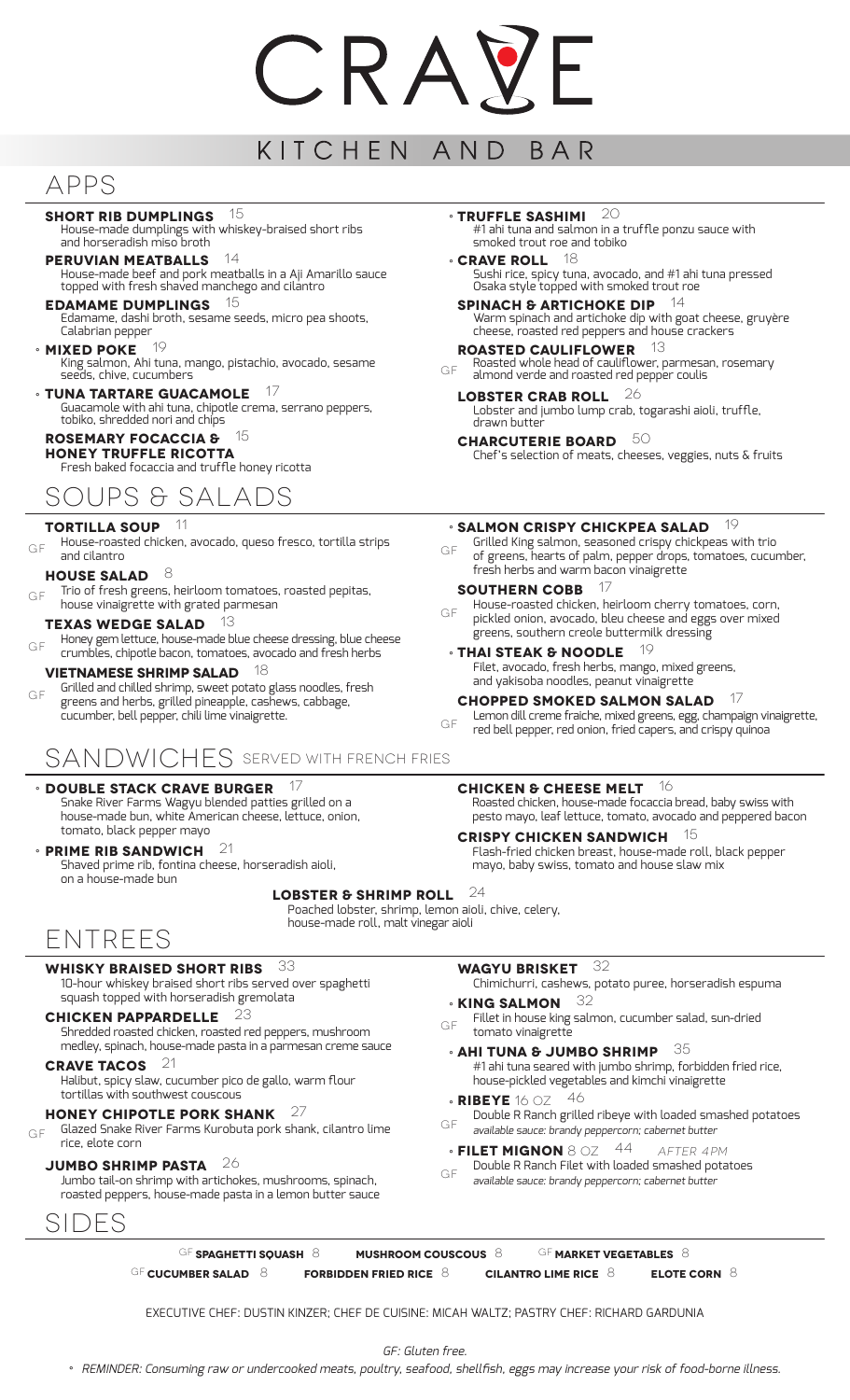# CRAN

#### KITCHEN AND BAR

## APPS

**Short Rib Dumplings** 15 House-made dumplings with whiskey-braised short ribs and horseradish miso broth

**Peruvian Meatballs** 14 House-made beef and pork meatballs in a Aji Amarillo sauce topped with fresh shaved manchego and cilantro

**Edamame Dumplings** 15 Edamame, dashi broth, sesame seeds, micro pea shoots, Calabrian pepper

- **Mixed Poke** 19 °
- King salmon, Ahi tuna, mango, pistachio, avocado, sesame seeds, chive, cucumbers
- **Tuna tartare guacamole** 17 ° Guacamole with ahi tuna, chipotle crema, serrano peppers, tobiko, shredded nori and chips

#### **Rosemary Focaccia &** 15 **Honey Truffle Ricotta**

Fresh baked focaccia and truffle honey ricotta

## Soups & Salads

#### **Tortilla Soup** 11

House-roasted chicken, avocado, queso fresco, tortilla strips and cilantro GF

- **House Salad** 8
- Trio of fresh greens, heirloom tomatoes, roasted pepitas, house vinaigrette with grated parmesan GF

#### **Texas Wedge Salad** 13

Honey gem lettuce, house-made blue cheese dressing, blue cheese crumbles, chipotle bacon, tomatoes, avocado and fresh herbs  $GF$ 

#### **Vietnamese Shrimp Salad** 18

Grilled and chilled shrimp, sweet potato glass noodles, fresh greens and herbs, grilled pineapple, cashews, cabbage, cucumber, bell pepper, chili lime vinaigrette. GF

## SANDWICHES SERVED WITH FRENCH FRIES

## **Double Stack Crave Burger** 17 °

Snake River Farms Wagyu blended patties grilled on a house-made bun, white American cheese, lettuce, onion, tomato, black pepper mayo

**PRIME RIB SANDWICH** 21

Shaved prime rib, fontina cheese, horseradish aioli, on a house-made bun

Entrees

## **Whisky Braised Short Ribs** 33

10-hour whiskey braised short ribs served over spaghetti squash topped with horseradish gremolata

### **Chicken Pappardelle** 23

Shredded roasted chicken, roasted red peppers, mushroom medley, spinach, house-made pasta in a parmesan creme sauce

#### **Crave Tacos** 21

Halibut, spicy slaw, cucumber pico de gallo, warm flour tortillas with southwest couscous

### **Honey Chipotle Pork Shank** 27

Glazed Snake River Farms Kurobuta pork shank, cilantro lime rice, elote corn GF

## **Jumbo Shrimp pasta** 26

Jumbo tail-on shrimp with artichokes, mushrooms, spinach, roasted peppers, house-made pasta in a lemon butter sauce

## SIDES

**TRUFFLE SASHIMI** 20 #1 ahi tuna and salmon in a truffle ponzu sauce with

- smoked trout roe and tobiko **CRAVE ROLL** 18 Sushi rice, spicy tuna, avocado, and #1 ahi tuna pressed Osaka style topped with smoked trout roe
- **Spinach & Artichoke Dip** 14 Warm spinach and artichoke dip with goat cheese, gruyère cheese, roasted red peppers and house crackers
- **Roasted Cauliflower** 13 Roasted whole head of cauliflower, parmesan, rosemary almond verde and roasted red pepper coulis GF
	- **Lobster Crab Roll** 26 Lobster and jumbo lump crab, togarashi aioli, truffle, drawn butter
	- **charcuterie board** 50 Chef's selection of meats, cheeses, veggies, nuts & fruits

## **SALMON CRISPY CHICKPEA SALAD** <sup>19</sup>

Grilled King salmon, seasoned crispy chickpeas with trio of greens, hearts of palm, pepper drops, tomatoes, cucumber, fresh herbs and warm bacon vinaigrette GF

#### **Southern Cobb** 17

House-roasted chicken, heirloom cherry tomatoes, corn, pickled onion, avocado, bleu cheese and eggs over mixed greens, southern creole buttermilk dressing gf

**THAI STEAK & NOODLE** <sup>19</sup> Filet, avocado, fresh herbs, mango, mixed greens, and yakisoba noodles, peanut vinaigrette

#### **CHOPPED SMOKED SALMON SALAD**

Lemon dill creme fraiche, mixed greens, egg, champaign vinaigrette, red bell pepper, red onion, fried capers, and crispy quinoa

#### **Chicken & Cheese Melt** 16

Roasted chicken, house-made focaccia bread, baby swiss with pesto mayo, leaf lettuce, tomato, avocado and peppered bacon

#### **Crispy Chicken Sandwich** 15

Flash-fried chicken breast, house-made roll, black pepper mayo, baby swiss, tomato and house slaw mix

#### **Lobster & Shrimp Roll** 24

Poached lobster, shrimp, lemon aioli, chive, celery, house-made roll, malt vinegar aioli

gf

#### **Wagyu Brisket** 32

Chimichurri, cashews, potato puree, horseradish espuma

- **KING SALMON** 32
- Fillet in house king salmon, cucumber salad, sun-dried tomato vinaigrette
- **AHI TUNA & JUMBO SHRIMP** 35 #1 ahi tuna seared with jumbo shrimp, forbidden fried rice, house-pickled vegetables and kimchi vinaigrette
- **RIBEYE** 16 OZ 46
- Double R Ranch grilled ribeye with loaded smashed potatoes available sauce: brandy peppercorn; cabernet butter GF
- **Filet Mignon** 8 oz44 AFTER 4pm °
- Double R Ranch Filet with loaded smashed potatoes available sauce: brandy peppercorn; cabernet butter gf
- gf **Spaghetti Squash** 8 **Mushroom Couscous** 8 gf **Market Vegetables** 8 gf **cucumber salad** 8 **Forbidden fried rice** 8 **Cilantro Lime rice** 8 **Elote corn** 8

EXECUTIVE CHEF: DUSTIN KINZER; CHEF DE CUISINE: MICAH WALTZ; PASTRY CHEF: RICHARD GARDUNIA

 $GF<sub>c</sub>$ Gluten free.

° REMINDER: Consuming raw or undercooked meats, poultry, seafood, shellfish, eggs may increase your risk of food-borne illness.

# GF